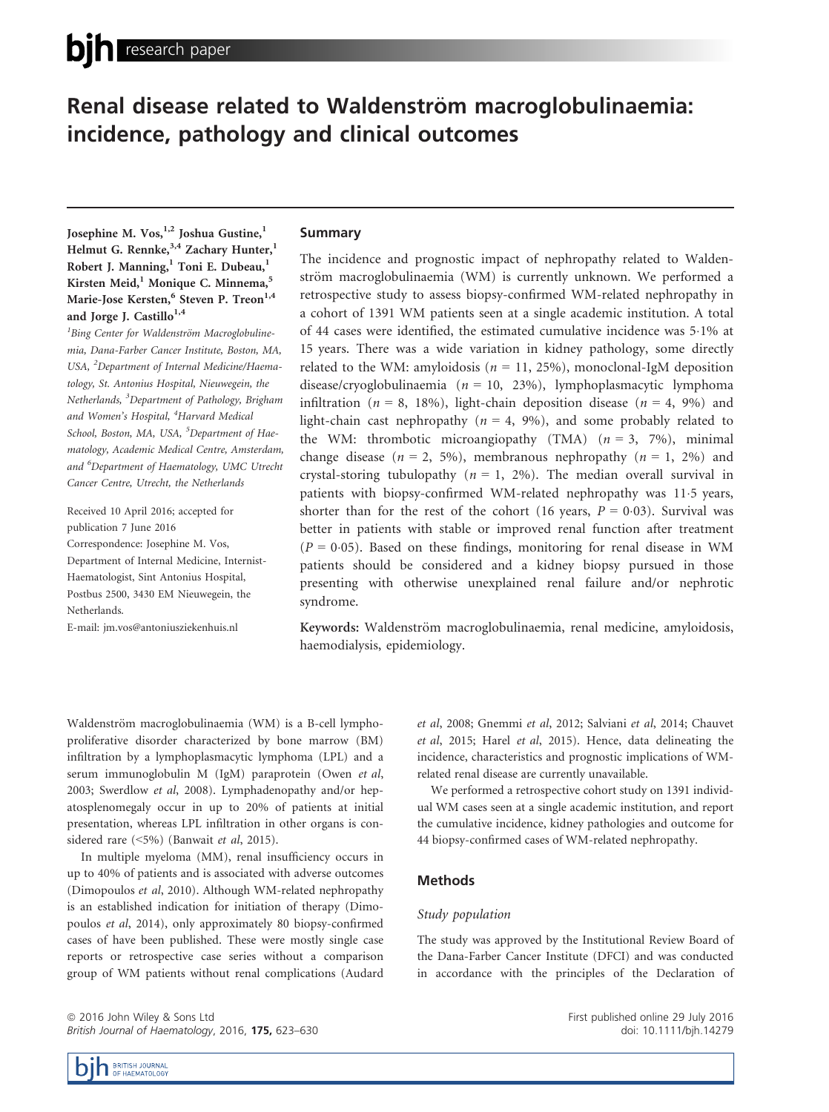# Renal disease related to Waldenström macroglobulinaemia: incidence, pathology and clinical outcomes

Josephine M. Vos,<sup>1,2</sup> Joshua Gustine,<sup>1</sup> Helmut G. Rennke,<sup>3,4</sup> Zachary Hunter,<sup>1</sup> Robert J. Manning,<sup>1</sup> Toni E. Dubeau,<sup>1</sup> Kirsten Meid,<sup>1</sup> Monique C. Minnema,<sup>5</sup> Marie-Jose Kersten,<sup>6</sup> Steven P. Treon<sup>1,4</sup> and Jorge J. Castillo<sup>1,4</sup>

<sup>1</sup>Bing Center for Waldenström Macroglobulinemia, Dana-Farber Cancer Institute, Boston, MA, USA, <sup>2</sup>Department of Internal Medicine/Haematology, St. Antonius Hospital, Nieuwegein, the Netherlands, <sup>3</sup>Department of Pathology, Brigham and Women's Hospital, <sup>4</sup>Harvard Medical School, Boston, MA, USA, <sup>5</sup>Department of Haematology, Academic Medical Centre, Amsterdam, and <sup>6</sup>Department of Haematology, UMC Utrecht Cancer Centre, Utrecht, the Netherlands

Received 10 April 2016; accepted for publication 7 June 2016 Correspondence: Josephine M. Vos, Department of Internal Medicine, Internist-Haematologist, Sint Antonius Hospital, Postbus 2500, 3430 EM Nieuwegein, the Netherlands.

E-mail: jm.vos@antoniusziekenhuis.nl

## Summary

The incidence and prognostic impact of nephropathy related to Waldenström macroglobulinaemia (WM) is currently unknown. We performed a retrospective study to assess biopsy-confirmed WM-related nephropathy in a cohort of 1391 WM patients seen at a single academic institution. A total of 44 cases were identified, the estimated cumulative incidence was 51% at 15 years. There was a wide variation in kidney pathology, some directly related to the WM: amyloidosis ( $n = 11, 25\%$ ), monoclonal-IgM deposition disease/cryoglobulinaemia ( $n = 10, 23\%$ ), lymphoplasmacytic lymphoma infiltration ( $n = 8$ , 18%), light-chain deposition disease ( $n = 4$ , 9%) and light-chain cast nephropathy ( $n = 4$ , 9%), and some probably related to the WM: thrombotic microangiopathy (TMA)  $(n = 3, 7\%)$ , minimal change disease ( $n = 2$ , 5%), membranous nephropathy ( $n = 1$ , 2%) and crystal-storing tubulopathy ( $n = 1$ , 2%). The median overall survival in patients with biopsy-confirmed WM-related nephropathy was 115 years, shorter than for the rest of the cohort (16 years,  $P = 0.03$ ). Survival was better in patients with stable or improved renal function after treatment  $(P = 0.05)$ . Based on these findings, monitoring for renal disease in WM patients should be considered and a kidney biopsy pursued in those presenting with otherwise unexplained renal failure and/or nephrotic syndrome.

Keywords: Waldenström macroglobulinaemia, renal medicine, amyloidosis, haemodialysis, epidemiology.

Waldenström macroglobulinaemia (WM) is a B-cell lymphoproliferative disorder characterized by bone marrow (BM) infiltration by a lymphoplasmacytic lymphoma (LPL) and a serum immunoglobulin M (IgM) paraprotein (Owen et al, 2003; Swerdlow et al, 2008). Lymphadenopathy and/or hepatosplenomegaly occur in up to 20% of patients at initial presentation, whereas LPL infiltration in other organs is considered rare (<5%) (Banwait et al, 2015).

In multiple myeloma (MM), renal insufficiency occurs in up to 40% of patients and is associated with adverse outcomes (Dimopoulos et al, 2010). Although WM-related nephropathy is an established indication for initiation of therapy (Dimopoulos et al, 2014), only approximately 80 biopsy-confirmed cases of have been published. These were mostly single case reports or retrospective case series without a comparison group of WM patients without renal complications (Audard et al, 2008; Gnemmi et al, 2012; Salviani et al, 2014; Chauvet et al, 2015; Harel et al, 2015). Hence, data delineating the incidence, characteristics and prognostic implications of WMrelated renal disease are currently unavailable.

We performed a retrospective cohort study on 1391 individual WM cases seen at a single academic institution, and report the cumulative incidence, kidney pathologies and outcome for 44 biopsy-confirmed cases of WM-related nephropathy.

## Methods

#### Study population

The study was approved by the Institutional Review Board of the Dana-Farber Cancer Institute (DFCI) and was conducted in accordance with the principles of the Declaration of

ª 2016 John Wiley & Sons Ltd British Journal of Haematology, 2016, 175, 623-630 First published online 29 July 2016 doi: 10.1111/bjh.14279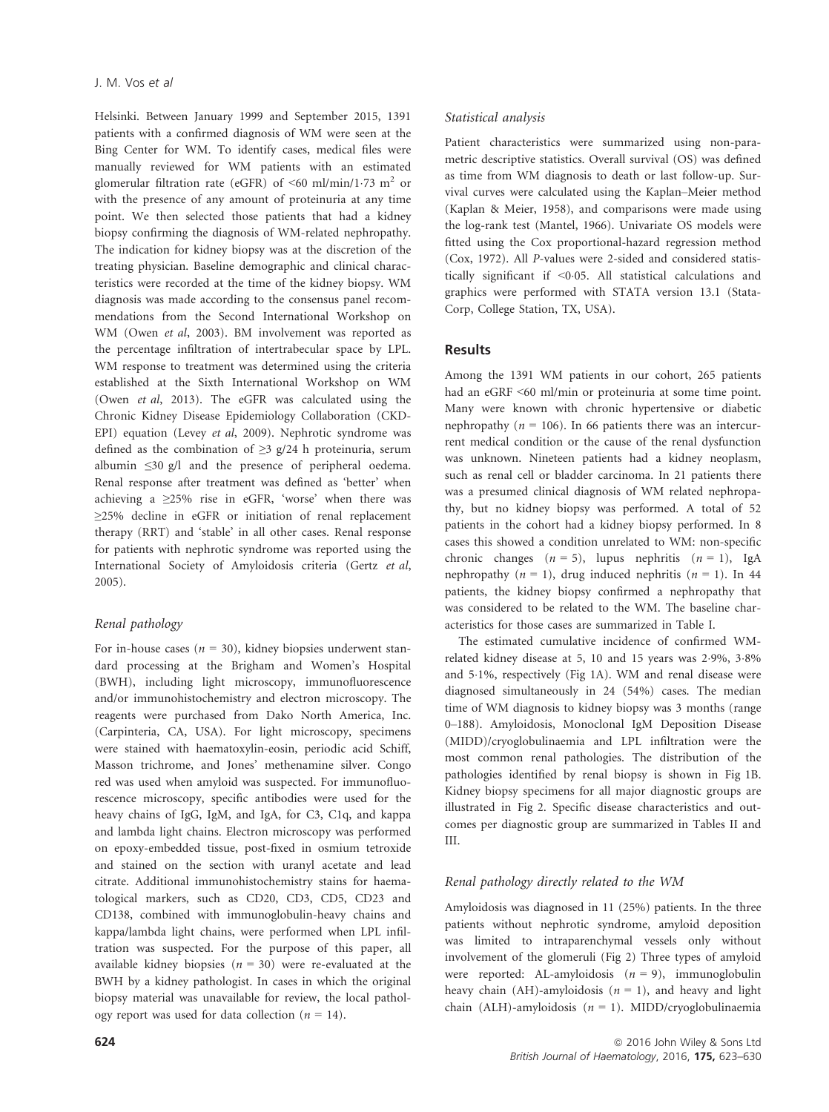Helsinki. Between January 1999 and September 2015, 1391 patients with a confirmed diagnosis of WM were seen at the Bing Center for WM. To identify cases, medical files were manually reviewed for WM patients with an estimated glomerular filtration rate (eGFR) of  $\leq 60$  ml/min/1.73 m<sup>2</sup> or with the presence of any amount of proteinuria at any time point. We then selected those patients that had a kidney biopsy confirming the diagnosis of WM-related nephropathy. The indication for kidney biopsy was at the discretion of the treating physician. Baseline demographic and clinical characteristics were recorded at the time of the kidney biopsy. WM diagnosis was made according to the consensus panel recommendations from the Second International Workshop on WM (Owen et al, 2003). BM involvement was reported as the percentage infiltration of intertrabecular space by LPL. WM response to treatment was determined using the criteria established at the Sixth International Workshop on WM (Owen et al, 2013). The eGFR was calculated using the Chronic Kidney Disease Epidemiology Collaboration (CKD-EPI) equation (Levey et al, 2009). Nephrotic syndrome was defined as the combination of  $\geq$ 3 g/24 h proteinuria, serum albumin ≤30 g/l and the presence of peripheral oedema. Renal response after treatment was defined as 'better' when achieving a  $\geq$ 25% rise in eGFR, 'worse' when there was ≥25% decline in eGFR or initiation of renal replacement therapy (RRT) and 'stable' in all other cases. Renal response for patients with nephrotic syndrome was reported using the International Society of Amyloidosis criteria (Gertz et al, 2005).

## Renal pathology

For in-house cases ( $n = 30$ ), kidney biopsies underwent standard processing at the Brigham and Women's Hospital (BWH), including light microscopy, immunofluorescence and/or immunohistochemistry and electron microscopy. The reagents were purchased from Dako North America, Inc. (Carpinteria, CA, USA). For light microscopy, specimens were stained with haematoxylin-eosin, periodic acid Schiff, Masson trichrome, and Jones' methenamine silver. Congo red was used when amyloid was suspected. For immunofluorescence microscopy, specific antibodies were used for the heavy chains of IgG, IgM, and IgA, for C3, C1q, and kappa and lambda light chains. Electron microscopy was performed on epoxy-embedded tissue, post-fixed in osmium tetroxide and stained on the section with uranyl acetate and lead citrate. Additional immunohistochemistry stains for haematological markers, such as CD20, CD3, CD5, CD23 and CD138, combined with immunoglobulin-heavy chains and kappa/lambda light chains, were performed when LPL infiltration was suspected. For the purpose of this paper, all available kidney biopsies ( $n = 30$ ) were re-evaluated at the BWH by a kidney pathologist. In cases in which the original biopsy material was unavailable for review, the local pathology report was used for data collection ( $n = 14$ ).

#### Statistical analysis

Patient characteristics were summarized using non-parametric descriptive statistics. Overall survival (OS) was defined as time from WM diagnosis to death or last follow-up. Survival curves were calculated using the Kaplan–Meier method (Kaplan & Meier, 1958), and comparisons were made using the log-rank test (Mantel, 1966). Univariate OS models were fitted using the Cox proportional-hazard regression method (Cox, 1972). All P-values were 2-sided and considered statistically significant if <0.05. All statistical calculations and graphics were performed with STATA version 13.1 (Stata-Corp, College Station, TX, USA).

## **Results**

Among the 1391 WM patients in our cohort, 265 patients had an eGRF <60 ml/min or proteinuria at some time point. Many were known with chronic hypertensive or diabetic nephropathy ( $n = 106$ ). In 66 patients there was an intercurrent medical condition or the cause of the renal dysfunction was unknown. Nineteen patients had a kidney neoplasm, such as renal cell or bladder carcinoma. In 21 patients there was a presumed clinical diagnosis of WM related nephropathy, but no kidney biopsy was performed. A total of 52 patients in the cohort had a kidney biopsy performed. In 8 cases this showed a condition unrelated to WM: non-specific chronic changes  $(n = 5)$ , lupus nephritis  $(n = 1)$ , IgA nephropathy ( $n = 1$ ), drug induced nephritis ( $n = 1$ ). In 44 patients, the kidney biopsy confirmed a nephropathy that was considered to be related to the WM. The baseline characteristics for those cases are summarized in Table I.

The estimated cumulative incidence of confirmed WMrelated kidney disease at 5, 10 and 15 years was 2.9%, 3.8% and 51%, respectively (Fig 1A). WM and renal disease were diagnosed simultaneously in 24 (54%) cases. The median time of WM diagnosis to kidney biopsy was 3 months (range 0–188). Amyloidosis, Monoclonal IgM Deposition Disease (MIDD)/cryoglobulinaemia and LPL infiltration were the most common renal pathologies. The distribution of the pathologies identified by renal biopsy is shown in Fig 1B. Kidney biopsy specimens for all major diagnostic groups are illustrated in Fig 2. Specific disease characteristics and outcomes per diagnostic group are summarized in Tables II and III.

#### Renal pathology directly related to the WM

Amyloidosis was diagnosed in 11 (25%) patients. In the three patients without nephrotic syndrome, amyloid deposition was limited to intraparenchymal vessels only without involvement of the glomeruli (Fig 2) Three types of amyloid were reported: AL-amyloidosis  $(n = 9)$ , immunoglobulin heavy chain (AH)-amyloidosis ( $n = 1$ ), and heavy and light chain (ALH)-amyloidosis  $(n = 1)$ . MIDD/cryoglobulinaemia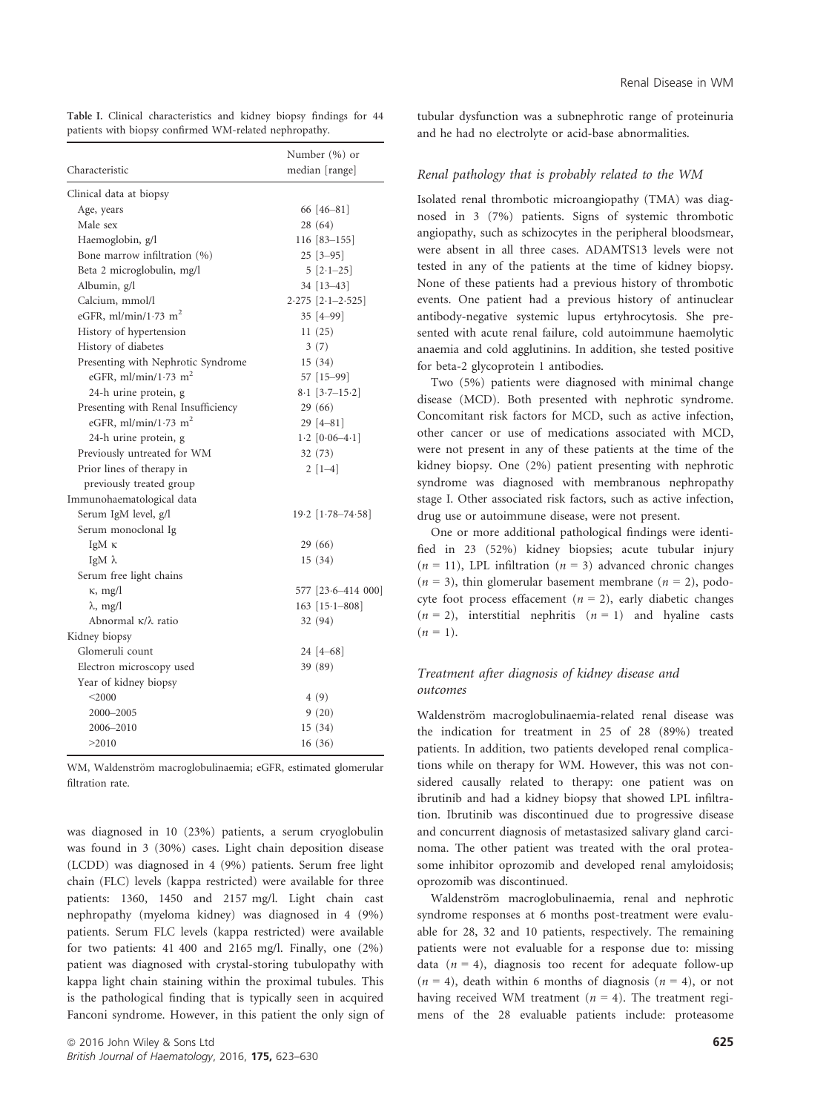|                                                        |  | Table I. Clinical characteristics and kidney biopsy findings for 44 |  |  |  |  |  |  |
|--------------------------------------------------------|--|---------------------------------------------------------------------|--|--|--|--|--|--|
| patients with biopsy confirmed WM-related nephropathy. |  |                                                                     |  |  |  |  |  |  |

|                                     | Number (%) or           |  |  |  |
|-------------------------------------|-------------------------|--|--|--|
| Characteristic                      | median [range]          |  |  |  |
| Clinical data at biopsy             |                         |  |  |  |
| Age, years                          | 66 [46-81]              |  |  |  |
| Male sex                            | 28 (64)                 |  |  |  |
| Haemoglobin, g/l                    | $116 [83 - 155]$        |  |  |  |
| Bone marrow infiltration (%)        | $25$ [3-95]             |  |  |  |
| Beta 2 microglobulin, mg/l          | $5[2.1-25]$             |  |  |  |
| Albumin, g/l                        | 34 [13-43]              |  |  |  |
| Calcium, mmol/l                     | $2.275$ [ $2.1-2.525$ ] |  |  |  |
| eGFR, ml/min/1.73 m <sup>2</sup>    | 35 [4–99]               |  |  |  |
| History of hypertension             | 11(25)                  |  |  |  |
| History of diabetes                 | 3(7)                    |  |  |  |
| Presenting with Nephrotic Syndrome  | 15(34)                  |  |  |  |
| eGFR, ml/min/1.73 m <sup>2</sup>    | 57 [15-99]              |  |  |  |
| 24-h urine protein, g               | $8.1$ [3.7-15.2]        |  |  |  |
| Presenting with Renal Insufficiency | 29(66)                  |  |  |  |
| eGFR, ml/min/1.73 m <sup>2</sup>    | $29[4-81]$              |  |  |  |
| 24-h urine protein, g               | $1.2$ [0.06-4.1]        |  |  |  |
| Previously untreated for WM         | 32 (73)                 |  |  |  |
| Prior lines of therapy in           | $2[1-4]$                |  |  |  |
| previously treated group            |                         |  |  |  |
| Immunohaematological data           |                         |  |  |  |
| Serum IgM level, g/l                | $19.2$   $1.78 - 74.58$ |  |  |  |
| Serum monoclonal Ig                 |                         |  |  |  |
| IgM κ                               | 29 (66)                 |  |  |  |
| IgM $λ$                             | 15(34)                  |  |  |  |
| Serum free light chains             |                         |  |  |  |
| $\kappa$ , mg/l                     | 577 [23.6-414 000]      |  |  |  |
| $\lambda$ , mg/l                    | 163 $[15.1 - 808]$      |  |  |  |
| Abnormal $\kappa/\lambda$ ratio     | 32 (94)                 |  |  |  |
| Kidney biopsy                       |                         |  |  |  |
| Glomeruli count                     | 24 [4 - 68]             |  |  |  |
| Electron microscopy used            | 39 (89)                 |  |  |  |
| Year of kidney biopsy               |                         |  |  |  |
| $<$ 2000                            | 4(9)                    |  |  |  |
| 2000-2005                           | 9(20)                   |  |  |  |
| 2006-2010                           | 15(34)                  |  |  |  |
| >2010                               | 16(36)                  |  |  |  |

WM, Waldenström macroglobulinaemia; eGFR, estimated glomerular filtration rate.

was diagnosed in 10 (23%) patients, a serum cryoglobulin was found in 3 (30%) cases. Light chain deposition disease (LCDD) was diagnosed in 4 (9%) patients. Serum free light chain (FLC) levels (kappa restricted) were available for three patients: 1360, 1450 and 2157 mg/l. Light chain cast nephropathy (myeloma kidney) was diagnosed in 4 (9%) patients. Serum FLC levels (kappa restricted) were available for two patients: 41 400 and 2165 mg/l. Finally, one (2%) patient was diagnosed with crystal-storing tubulopathy with kappa light chain staining within the proximal tubules. This is the pathological finding that is typically seen in acquired Fanconi syndrome. However, in this patient the only sign of tubular dysfunction was a subnephrotic range of proteinuria and he had no electrolyte or acid-base abnormalities.

#### Renal pathology that is probably related to the WM

Isolated renal thrombotic microangiopathy (TMA) was diagnosed in 3 (7%) patients. Signs of systemic thrombotic angiopathy, such as schizocytes in the peripheral bloodsmear, were absent in all three cases. ADAMTS13 levels were not tested in any of the patients at the time of kidney biopsy. None of these patients had a previous history of thrombotic events. One patient had a previous history of antinuclear antibody-negative systemic lupus ertyhrocytosis. She presented with acute renal failure, cold autoimmune haemolytic anaemia and cold agglutinins. In addition, she tested positive for beta-2 glycoprotein 1 antibodies.

Two (5%) patients were diagnosed with minimal change disease (MCD). Both presented with nephrotic syndrome. Concomitant risk factors for MCD, such as active infection, other cancer or use of medications associated with MCD, were not present in any of these patients at the time of the kidney biopsy. One (2%) patient presenting with nephrotic syndrome was diagnosed with membranous nephropathy stage I. Other associated risk factors, such as active infection, drug use or autoimmune disease, were not present.

One or more additional pathological findings were identified in 23 (52%) kidney biopsies; acute tubular injury  $(n = 11)$ , LPL infiltration  $(n = 3)$  advanced chronic changes  $(n = 3)$ , thin glomerular basement membrane  $(n = 2)$ , podocyte foot process effacement ( $n = 2$ ), early diabetic changes  $(n = 2)$ , interstitial nephritis  $(n = 1)$  and hyaline casts  $(n = 1)$ .

## Treatment after diagnosis of kidney disease and outcomes

Waldenström macroglobulinaemia-related renal disease was the indication for treatment in 25 of 28 (89%) treated patients. In addition, two patients developed renal complications while on therapy for WM. However, this was not considered causally related to therapy: one patient was on ibrutinib and had a kidney biopsy that showed LPL infiltration. Ibrutinib was discontinued due to progressive disease and concurrent diagnosis of metastasized salivary gland carcinoma. The other patient was treated with the oral proteasome inhibitor oprozomib and developed renal amyloidosis; oprozomib was discontinued.

Waldenström macroglobulinaemia, renal and nephrotic syndrome responses at 6 months post-treatment were evaluable for 28, 32 and 10 patients, respectively. The remaining patients were not evaluable for a response due to: missing data  $(n = 4)$ , diagnosis too recent for adequate follow-up  $(n = 4)$ , death within 6 months of diagnosis  $(n = 4)$ , or not having received WM treatment ( $n = 4$ ). The treatment regimens of the 28 evaluable patients include: proteasome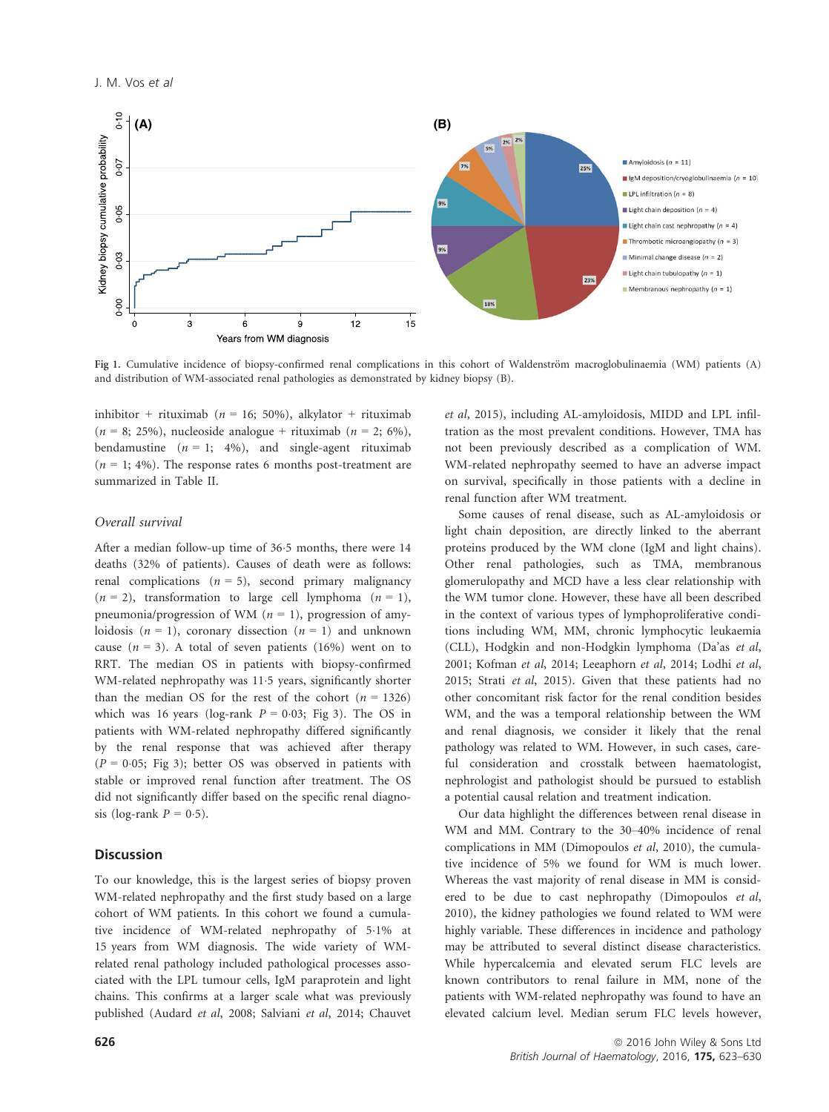

Fig 1. Cumulative incidence of biopsy-confirmed renal complications in this cohort of Waldenström macroglobulinaemia (WM) patients (A) and distribution of WM-associated renal pathologies as demonstrated by kidney biopsy (B).

inhibitor + rituximab ( $n = 16$ ; 50%), alkylator + rituximab  $(n = 8; 25\%)$ , nucleoside analogue + rituximab  $(n = 2; 6\%)$ , bendamustine  $(n = 1; 4\%)$ , and single-agent rituximab  $(n = 1; 4\%)$ . The response rates 6 months post-treatment are summarized in Table II.

#### Overall survival

After a median follow-up time of 36.5 months, there were 14 deaths (32% of patients). Causes of death were as follows: renal complications  $(n = 5)$ , second primary malignancy  $(n = 2)$ , transformation to large cell lymphoma  $(n = 1)$ , pneumonia/progression of WM ( $n = 1$ ), progression of amyloidosis  $(n = 1)$ , coronary dissection  $(n = 1)$  and unknown cause  $(n = 3)$ . A total of seven patients (16%) went on to RRT. The median OS in patients with biopsy-confirmed WM-related nephropathy was 11.5 years, significantly shorter than the median OS for the rest of the cohort ( $n = 1326$ ) which was 16 years (log-rank  $P = 0.03$ ; Fig 3). The OS in patients with WM-related nephropathy differed significantly by the renal response that was achieved after therapy  $(P = 0.05;$  Fig 3); better OS was observed in patients with stable or improved renal function after treatment. The OS did not significantly differ based on the specific renal diagnosis (log-rank  $P = 0.5$ ).

## **Discussion**

To our knowledge, this is the largest series of biopsy proven WM-related nephropathy and the first study based on a large cohort of WM patients. In this cohort we found a cumulative incidence of WM-related nephropathy of 51% at 15 years from WM diagnosis. The wide variety of WMrelated renal pathology included pathological processes associated with the LPL tumour cells, IgM paraprotein and light chains. This confirms at a larger scale what was previously published (Audard et al, 2008; Salviani et al, 2014; Chauvet et al, 2015), including AL-amyloidosis, MIDD and LPL infiltration as the most prevalent conditions. However, TMA has not been previously described as a complication of WM. WM-related nephropathy seemed to have an adverse impact on survival, specifically in those patients with a decline in renal function after WM treatment.

Some causes of renal disease, such as AL-amyloidosis or light chain deposition, are directly linked to the aberrant proteins produced by the WM clone (IgM and light chains). Other renal pathologies, such as TMA, membranous glomerulopathy and MCD have a less clear relationship with the WM tumor clone. However, these have all been described in the context of various types of lymphoproliferative conditions including WM, MM, chronic lymphocytic leukaemia (CLL), Hodgkin and non-Hodgkin lymphoma (Da'as et al, 2001; Kofman et al, 2014; Leeaphorn et al, 2014; Lodhi et al, 2015; Strati et al, 2015). Given that these patients had no other concomitant risk factor for the renal condition besides WM, and the was a temporal relationship between the WM and renal diagnosis, we consider it likely that the renal pathology was related to WM. However, in such cases, careful consideration and crosstalk between haematologist, nephrologist and pathologist should be pursued to establish a potential causal relation and treatment indication.

Our data highlight the differences between renal disease in WM and MM. Contrary to the 30–40% incidence of renal complications in MM (Dimopoulos et al, 2010), the cumulative incidence of 5% we found for WM is much lower. Whereas the vast majority of renal disease in MM is considered to be due to cast nephropathy (Dimopoulos et al, 2010), the kidney pathologies we found related to WM were highly variable. These differences in incidence and pathology may be attributed to several distinct disease characteristics. While hypercalcemia and elevated serum FLC levels are known contributors to renal failure in MM, none of the patients with WM-related nephropathy was found to have an elevated calcium level. Median serum FLC levels however,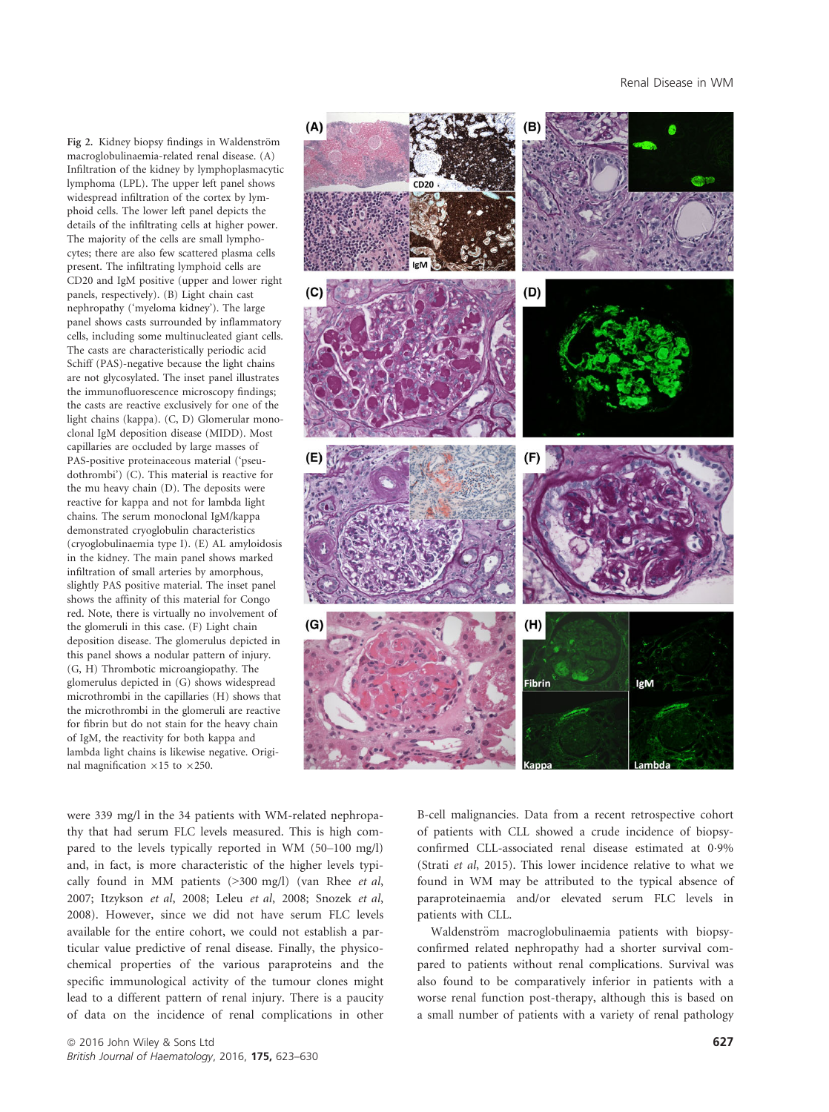#### Renal Disease in WM

Fig 2. Kidney biopsy findings in Waldenström macroglobulinaemia-related renal disease. (A) Infiltration of the kidney by lymphoplasmacytic lymphoma (LPL). The upper left panel shows widespread infiltration of the cortex by lymphoid cells. The lower left panel depicts the details of the infiltrating cells at higher power. The majority of the cells are small lymphocytes; there are also few scattered plasma cells present. The infiltrating lymphoid cells are CD20 and IgM positive (upper and lower right panels, respectively). (B) Light chain cast nephropathy ('myeloma kidney'). The large panel shows casts surrounded by inflammatory cells, including some multinucleated giant cells. The casts are characteristically periodic acid Schiff (PAS)-negative because the light chains are not glycosylated. The inset panel illustrates the immunofluorescence microscopy findings; the casts are reactive exclusively for one of the light chains (kappa). (C, D) Glomerular monoclonal IgM deposition disease (MIDD). Most capillaries are occluded by large masses of PAS-positive proteinaceous material ('pseudothrombi') (C). This material is reactive for the mu heavy chain (D). The deposits were reactive for kappa and not for lambda light chains. The serum monoclonal IgM/kappa demonstrated cryoglobulin characteristics (cryoglobulinaemia type I). (E) AL amyloidosis in the kidney. The main panel shows marked infiltration of small arteries by amorphous, slightly PAS positive material. The inset panel shows the affinity of this material for Congo red. Note, there is virtually no involvement of the glomeruli in this case. (F) Light chain deposition disease. The glomerulus depicted in this panel shows a nodular pattern of injury. (G, H) Thrombotic microangiopathy. The glomerulus depicted in (G) shows widespread microthrombi in the capillaries (H) shows that the microthrombi in the glomeruli are reactive for fibrin but do not stain for the heavy chain of IgM, the reactivity for both kappa and lambda light chains is likewise negative. Original magnification  $\times 15$  to  $\times 250$ .



were 339 mg/l in the 34 patients with WM-related nephropathy that had serum FLC levels measured. This is high compared to the levels typically reported in WM (50–100 mg/l) and, in fact, is more characteristic of the higher levels typically found in MM patients (>300 mg/l) (van Rhee et al, 2007; Itzykson et al, 2008; Leleu et al, 2008; Snozek et al, 2008). However, since we did not have serum FLC levels available for the entire cohort, we could not establish a particular value predictive of renal disease. Finally, the physicochemical properties of the various paraproteins and the specific immunological activity of the tumour clones might lead to a different pattern of renal injury. There is a paucity of data on the incidence of renal complications in other B-cell malignancies. Data from a recent retrospective cohort of patients with CLL showed a crude incidence of biopsyconfirmed CLL-associated renal disease estimated at 09% (Strati et al, 2015). This lower incidence relative to what we found in WM may be attributed to the typical absence of paraproteinaemia and/or elevated serum FLC levels in patients with CLL.

Waldenström macroglobulinaemia patients with biopsyconfirmed related nephropathy had a shorter survival compared to patients without renal complications. Survival was also found to be comparatively inferior in patients with a worse renal function post-therapy, although this is based on a small number of patients with a variety of renal pathology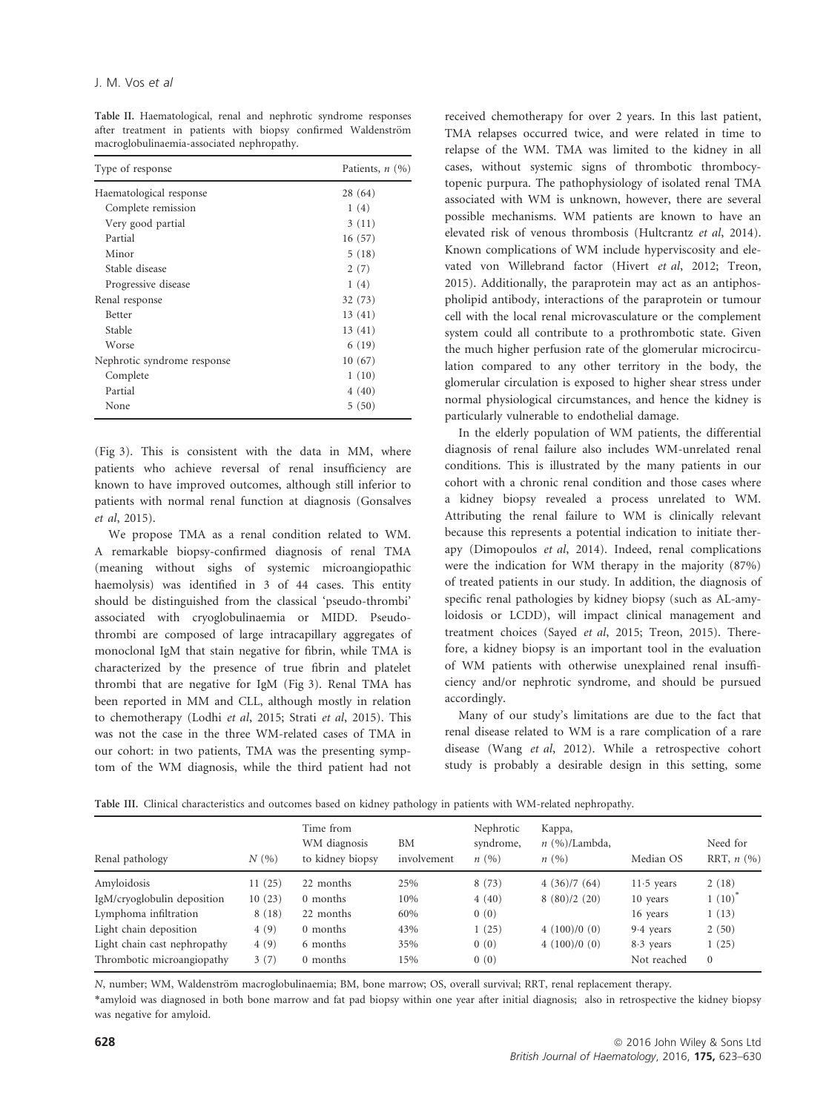Table II. Haematological, renal and nephrotic syndrome responses after treatment in patients with biopsy confirmed Waldenström macroglobulinaemia-associated nephropathy.

| Type of response            | Patients, $n(%)$ |
|-----------------------------|------------------|
| Haematological response     | 28 (64)          |
| Complete remission          | 1(4)             |
| Very good partial           | 3(11)            |
| Partial                     | 16(57)           |
| Minor                       | 5(18)            |
| Stable disease              | 2(7)             |
| Progressive disease         | 1(4)             |
| Renal response              | 32(73)           |
| <b>Better</b>               | 13(41)           |
| Stable                      | 13(41)           |
| Worse                       | 6(19)            |
| Nephrotic syndrome response | 10(67)           |
| Complete                    | 1(10)            |
| Partial                     | 4(40)            |
| None                        | 5(50)            |

(Fig 3). This is consistent with the data in MM, where patients who achieve reversal of renal insufficiency are known to have improved outcomes, although still inferior to patients with normal renal function at diagnosis (Gonsalves et al, 2015).

We propose TMA as a renal condition related to WM. A remarkable biopsy-confirmed diagnosis of renal TMA (meaning without sighs of systemic microangiopathic haemolysis) was identified in 3 of 44 cases. This entity should be distinguished from the classical 'pseudo-thrombi' associated with cryoglobulinaemia or MIDD. Pseudothrombi are composed of large intracapillary aggregates of monoclonal IgM that stain negative for fibrin, while TMA is characterized by the presence of true fibrin and platelet thrombi that are negative for IgM (Fig 3). Renal TMA has been reported in MM and CLL, although mostly in relation to chemotherapy (Lodhi et al, 2015; Strati et al, 2015). This was not the case in the three WM-related cases of TMA in our cohort: in two patients, TMA was the presenting symptom of the WM diagnosis, while the third patient had not received chemotherapy for over 2 years. In this last patient, TMA relapses occurred twice, and were related in time to relapse of the WM. TMA was limited to the kidney in all cases, without systemic signs of thrombotic thrombocytopenic purpura. The pathophysiology of isolated renal TMA associated with WM is unknown, however, there are several possible mechanisms. WM patients are known to have an elevated risk of venous thrombosis (Hultcrantz et al, 2014). Known complications of WM include hyperviscosity and elevated von Willebrand factor (Hivert et al, 2012; Treon, 2015). Additionally, the paraprotein may act as an antiphospholipid antibody, interactions of the paraprotein or tumour cell with the local renal microvasculature or the complement system could all contribute to a prothrombotic state. Given the much higher perfusion rate of the glomerular microcirculation compared to any other territory in the body, the glomerular circulation is exposed to higher shear stress under normal physiological circumstances, and hence the kidney is particularly vulnerable to endothelial damage.

In the elderly population of WM patients, the differential diagnosis of renal failure also includes WM-unrelated renal conditions. This is illustrated by the many patients in our cohort with a chronic renal condition and those cases where a kidney biopsy revealed a process unrelated to WM. Attributing the renal failure to WM is clinically relevant because this represents a potential indication to initiate therapy (Dimopoulos et al, 2014). Indeed, renal complications were the indication for WM therapy in the majority (87%) of treated patients in our study. In addition, the diagnosis of specific renal pathologies by kidney biopsy (such as AL-amyloidosis or LCDD), will impact clinical management and treatment choices (Sayed et al, 2015; Treon, 2015). Therefore, a kidney biopsy is an important tool in the evaluation of WM patients with otherwise unexplained renal insufficiency and/or nephrotic syndrome, and should be pursued accordingly.

Many of our study's limitations are due to the fact that renal disease related to WM is a rare complication of a rare disease (Wang et al, 2012). While a retrospective cohort study is probably a desirable design in this setting, some

Table III. Clinical characteristics and outcomes based on kidney pathology in patients with WM-related nephropathy.

| Renal pathology              | N(%)   | Time from<br>WM diagnosis<br>to kidney biopsy | BM<br>involvement | Nephrotic<br>syndrome,<br>n(%) | Kappa,<br>$n \ (\%)$ /Lambda,<br>n(96) | Median OS    | Need for<br>RRT, $n$ $(\% )$ |
|------------------------------|--------|-----------------------------------------------|-------------------|--------------------------------|----------------------------------------|--------------|------------------------------|
| Amyloidosis                  | 11(25) | 22 months                                     | 25%               | 8(73)                          | 4(36)/7(64)                            | $11.5$ years | 2(18)                        |
| IgM/cryoglobulin deposition  | 10(23) | 0 months                                      | 10%               | 4(40)                          | 8(80)/2(20)                            | 10 years     | $1(10)^{^{\circ}}$           |
| Lymphoma infiltration        | 8(18)  | 22 months                                     | 60%               | 0(0)                           |                                        | 16 years     | 1(13)                        |
| Light chain deposition       | 4(9)   | 0 months                                      | 43%               | 1(25)                          | 4(100)/0(0)                            | 9.4 years    | 2(50)                        |
| Light chain cast nephropathy | 4(9)   | 6 months                                      | 35%               | 0(0)                           | 4(100)/0(0)                            | $8.3$ years  | 1(25)                        |
| Thrombotic microangiopathy   | 3(7)   | 0 months                                      | 15%               | 0(0)                           |                                        | Not reached  | $\Omega$                     |

N, number; WM, Waldenström macroglobulinaemia; BM, bone marrow; OS, overall survival; RRT, renal replacement therapy.

\*amyloid was diagnosed in both bone marrow and fat pad biopsy within one year after initial diagnosis; also in retrospective the kidney biopsy was negative for amyloid.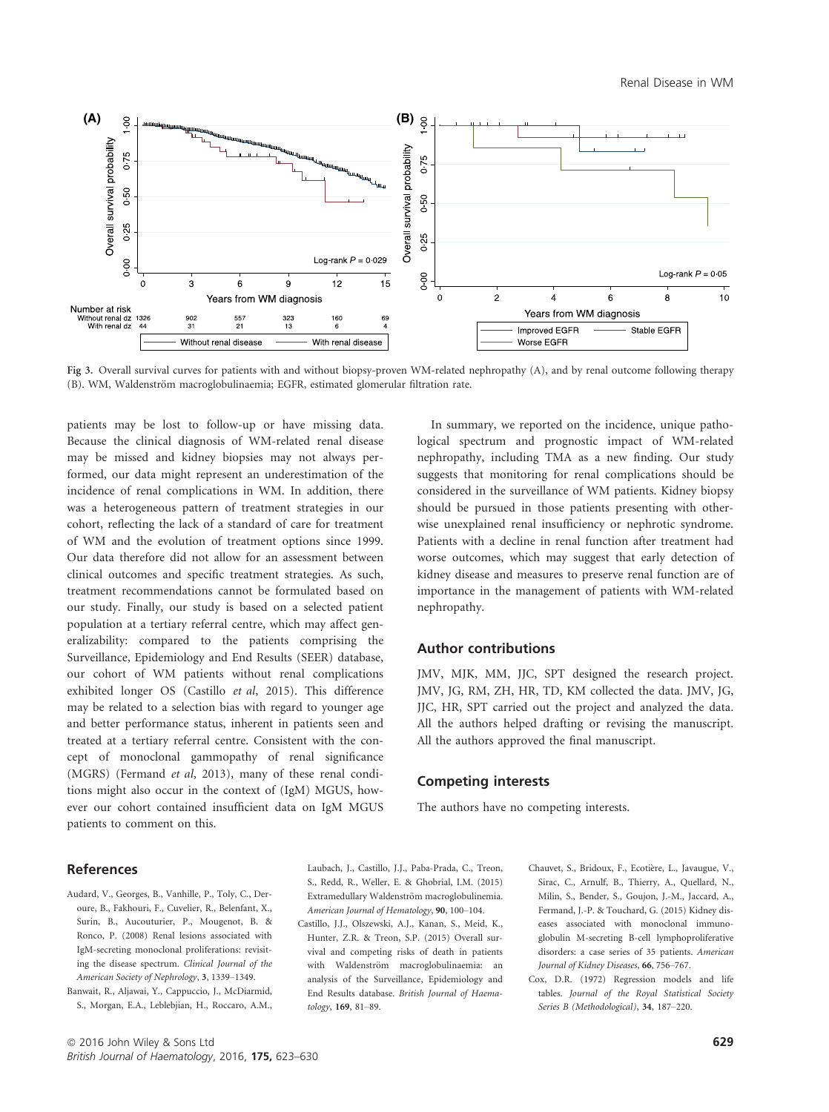

Fig 3. Overall survival curves for patients with and without biopsy-proven WM-related nephropathy (A), and by renal outcome following therapy (B). WM, Waldenström macroglobulinaemia; EGFR, estimated glomerular filtration rate.

patients may be lost to follow-up or have missing data. Because the clinical diagnosis of WM-related renal disease may be missed and kidney biopsies may not always performed, our data might represent an underestimation of the incidence of renal complications in WM. In addition, there was a heterogeneous pattern of treatment strategies in our cohort, reflecting the lack of a standard of care for treatment of WM and the evolution of treatment options since 1999. Our data therefore did not allow for an assessment between clinical outcomes and specific treatment strategies. As such, treatment recommendations cannot be formulated based on our study. Finally, our study is based on a selected patient population at a tertiary referral centre, which may affect generalizability: compared to the patients comprising the Surveillance, Epidemiology and End Results (SEER) database, our cohort of WM patients without renal complications exhibited longer OS (Castillo et al, 2015). This difference may be related to a selection bias with regard to younger age and better performance status, inherent in patients seen and treated at a tertiary referral centre. Consistent with the concept of monoclonal gammopathy of renal significance (MGRS) (Fermand et al, 2013), many of these renal conditions might also occur in the context of (IgM) MGUS, however our cohort contained insufficient data on IgM MGUS patients to comment on this.

In summary, we reported on the incidence, unique pathological spectrum and prognostic impact of WM-related nephropathy, including TMA as a new finding. Our study suggests that monitoring for renal complications should be considered in the surveillance of WM patients. Kidney biopsy should be pursued in those patients presenting with otherwise unexplained renal insufficiency or nephrotic syndrome. Patients with a decline in renal function after treatment had worse outcomes, which may suggest that early detection of kidney disease and measures to preserve renal function are of importance in the management of patients with WM-related nephropathy.

## Author contributions

JMV, MJK, MM, JJC, SPT designed the research project. JMV, JG, RM, ZH, HR, TD, KM collected the data. JMV, JG, JJC, HR, SPT carried out the project and analyzed the data. All the authors helped drafting or revising the manuscript. All the authors approved the final manuscript.

## Competing interests

The authors have no competing interests.

- References
- Audard, V., Georges, B., Vanhille, P., Toly, C., Deroure, B., Fakhouri, F., Cuvelier, R., Belenfant, X., Surin, B., Aucouturier, P., Mougenot, B. & Ronco, P. (2008) Renal lesions associated with IgM-secreting monoclonal proliferations: revisiting the disease spectrum. Clinical Journal of the American Society of Nephrology, 3, 1339–1349.
- Banwait, R., Aljawai, Y., Cappuccio, J., McDiarmid, S., Morgan, E.A., Leblebjian, H., Roccaro, A.M.,
- Laubach, J., Castillo, J.J., Paba-Prada, C., Treon, S., Redd, R., Weller, E. & Ghobrial, I.M. (2015) Extramedullary Waldenström macroglobulinemia. American Journal of Hematology, 90, 100–104.
- Castillo, J.J., Olszewski, A.J., Kanan, S., Meid, K., Hunter, Z.R. & Treon, S.P. (2015) Overall survival and competing risks of death in patients with Waldenström macroglobulinaemia: an analysis of the Surveillance, Epidemiology and End Results database. British Journal of Haematology, 169, 81–89.
- Chauvet, S., Bridoux, F., Ecotière, L., Javaugue, V., Sirac, C., Arnulf, B., Thierry, A., Quellard, N., Milin, S., Bender, S., Goujon, J.-M., Jaccard, A., Fermand, J.-P. & Touchard, G. (2015) Kidney diseases associated with monoclonal immunoglobulin M-secreting B-cell lymphoproliferative disorders: a case series of 35 patients. American Journal of Kidney Diseases, 66, 756–767.
- Cox, D.R. (1972) Regression models and life tables. Journal of the Royal Statistical Society Series B (Methodological), 34, 187–220.